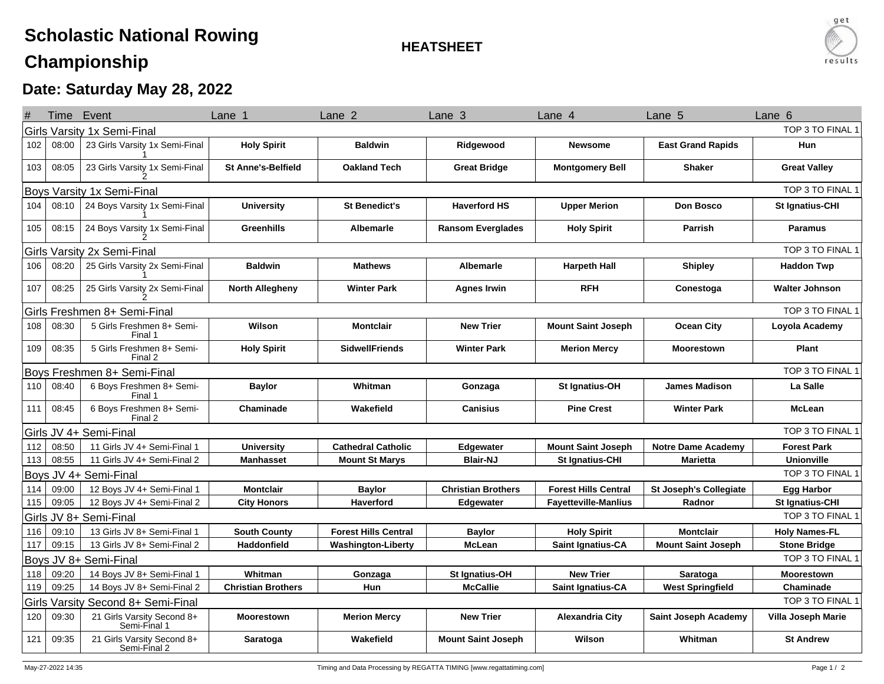## **Scholastic National RowingChampionship**

**HEATSHEET**



## **Date: Saturday May 28, 2022**

|     | Time Event                                             |                                            | Lane                      | Lane <sub>2</sub>           | Lane <sub>3</sub>         | Lane 4                      | Lane 5                        | Lane 6                    |  |  |  |
|-----|--------------------------------------------------------|--------------------------------------------|---------------------------|-----------------------------|---------------------------|-----------------------------|-------------------------------|---------------------------|--|--|--|
|     | TOP 3 TO FINAL 1<br>Girls Varsity 1x Semi-Final        |                                            |                           |                             |                           |                             |                               |                           |  |  |  |
| 102 | 08:00                                                  | 23 Girls Varsity 1x Semi-Final             | <b>Holy Spirit</b>        | <b>Baldwin</b>              | Ridgewood                 | <b>Newsome</b>              | <b>East Grand Rapids</b>      | Hun                       |  |  |  |
| 103 | 08:05                                                  | 23 Girls Varsity 1x Semi-Final             | <b>St Anne's-Belfield</b> | <b>Oakland Tech</b>         | <b>Great Bridge</b>       | <b>Montgomery Bell</b>      | <b>Shaker</b>                 | <b>Great Valley</b>       |  |  |  |
|     | TOP 3 TO FINAL *<br>Boys Varsity 1x Semi-Final         |                                            |                           |                             |                           |                             |                               |                           |  |  |  |
| 104 | 08:10                                                  | 24 Boys Varsity 1x Semi-Final              | <b>University</b>         | <b>St Benedict's</b>        | <b>Haverford HS</b>       | <b>Upper Merion</b>         | <b>Don Bosco</b>              | St Ignatius-CHI           |  |  |  |
| 105 | 08:15                                                  | 24 Boys Varsity 1x Semi-Final              | Greenhills                | <b>Albemarle</b>            | <b>Ransom Everglades</b>  | <b>Holy Spirit</b>          | Parrish                       | <b>Paramus</b>            |  |  |  |
|     | TOP 3 TO FINAL 1<br>Girls Varsity 2x Semi-Final        |                                            |                           |                             |                           |                             |                               |                           |  |  |  |
| 106 | 08:20                                                  | 25 Girls Varsity 2x Semi-Final             | <b>Baldwin</b>            | <b>Mathews</b>              | Albemarle                 | <b>Harpeth Hall</b>         | Shipley                       | <b>Haddon Twp</b>         |  |  |  |
| 107 | 08:25                                                  | 25 Girls Varsity 2x Semi-Final             | <b>North Allegheny</b>    | <b>Winter Park</b>          | <b>Agnes Irwin</b>        | <b>RFH</b>                  | Conestoga                     | <b>Walter Johnson</b>     |  |  |  |
|     | TOP 3 TO FINAL 1<br>Girls Freshmen 8+ Semi-Final       |                                            |                           |                             |                           |                             |                               |                           |  |  |  |
| 108 | 08:30                                                  | 5 Girls Freshmen 8+ Semi-<br>Final 1       | Wilson                    | <b>Montclair</b>            | <b>New Trier</b>          | <b>Mount Saint Joseph</b>   | <b>Ocean City</b>             | Loyola Academy            |  |  |  |
| 109 | 08:35                                                  | 5 Girls Freshmen 8+ Semi-<br>Final 2       | <b>Holy Spirit</b>        | <b>SidwellFriends</b>       | <b>Winter Park</b>        | <b>Merion Mercy</b>         | <b>Moorestown</b>             | Plant                     |  |  |  |
|     |                                                        | Boys Freshmen 8+ Semi-Final                |                           |                             |                           |                             |                               | TOP 3 TO FINAL 1          |  |  |  |
| 110 | 08:40                                                  | 6 Boys Freshmen 8+ Semi-<br>Final 1        | <b>Baylor</b>             | Whitman                     | Gonzaga                   | St Ignatius-OH              | <b>James Madison</b>          | La Salle                  |  |  |  |
| 111 | 08:45                                                  | 6 Boys Freshmen 8+ Semi-<br>Final 2        | Chaminade                 | Wakefield                   | <b>Canisius</b>           | <b>Pine Crest</b>           | <b>Winter Park</b>            | <b>McLean</b>             |  |  |  |
|     |                                                        | Girls JV 4+ Semi-Final                     |                           |                             |                           |                             |                               | TOP 3 TO FINAL 1          |  |  |  |
| 112 | 08:50                                                  | 11 Girls JV 4+ Semi-Final 1                | <b>University</b>         | <b>Cathedral Catholic</b>   | Edgewater                 | <b>Mount Saint Joseph</b>   | <b>Notre Dame Academy</b>     | <b>Forest Park</b>        |  |  |  |
| 113 | 08:55                                                  | 11 Girls JV 4+ Semi-Final 2                | <b>Manhasset</b>          | <b>Mount St Marys</b>       | <b>Blair-NJ</b>           | <b>St Ignatius-CHI</b>      | <b>Marietta</b>               | <b>Unionville</b>         |  |  |  |
|     |                                                        | Boys JV 4+ Semi-Final                      |                           |                             |                           |                             |                               | TOP 3 TO FINAL 1          |  |  |  |
| 114 | 09:00                                                  | 12 Boys JV 4+ Semi-Final 1                 | <b>Montclair</b>          | <b>Baylor</b>               | <b>Christian Brothers</b> | <b>Forest Hills Central</b> | <b>St Joseph's Collegiate</b> | <b>Egg Harbor</b>         |  |  |  |
| 115 | 09:05                                                  | 12 Boys JV 4+ Semi-Final 2                 | <b>City Honors</b>        | <b>Haverford</b>            | Edgewater                 | <b>Fayetteville-Manlius</b> | Radnor                        | <b>St Ignatius-CHI</b>    |  |  |  |
|     |                                                        | Girls JV 8+ Semi-Final                     |                           |                             |                           |                             |                               | TOP 3 TO FINAL 1          |  |  |  |
| 116 | 09:10                                                  | 13 Girls JV 8+ Semi-Final 1                | <b>South County</b>       | <b>Forest Hills Central</b> | <b>Baylor</b>             | <b>Holy Spirit</b>          | <b>Montclair</b>              | <b>Holy Names-FL</b>      |  |  |  |
| 117 | 09:15                                                  | 13 Girls JV 8+ Semi-Final 2                | <b>Haddonfield</b>        | <b>Washington-Liberty</b>   | <b>McLean</b>             | <b>Saint Ignatius-CA</b>    | <b>Mount Saint Joseph</b>     | <b>Stone Bridge</b>       |  |  |  |
|     |                                                        | Boys JV 8+ Semi-Final                      |                           |                             |                           |                             |                               | TOP 3 TO FINAL 1          |  |  |  |
| 118 | 09:20                                                  | 14 Boys JV 8+ Semi-Final 1                 | Whitman                   | Gonzaga                     | St Ignatius-OH            | <b>New Trier</b>            | Saratoga                      | <b>Moorestown</b>         |  |  |  |
| 119 | 09:25                                                  | 14 Boys JV 8+ Semi-Final 2                 | <b>Christian Brothers</b> | Hun                         | <b>McCallie</b>           | Saint Ignatius-CA           | <b>West Springfield</b>       | Chaminade                 |  |  |  |
|     | TOP 3 TO FINAL 1<br>Girls Varsity Second 8+ Semi-Final |                                            |                           |                             |                           |                             |                               |                           |  |  |  |
| 120 | 09:30                                                  | 21 Girls Varsity Second 8+<br>Semi-Final 1 | <b>Moorestown</b>         | <b>Merion Mercy</b>         | <b>New Trier</b>          | <b>Alexandria City</b>      | Saint Joseph Academy          | <b>Villa Joseph Marie</b> |  |  |  |
| 121 | 09:35                                                  | 21 Girls Varsity Second 8+<br>Semi-Final 2 | Saratoga                  | Wakefield                   | <b>Mount Saint Joseph</b> | Wilson                      | Whitman                       | <b>St Andrew</b>          |  |  |  |